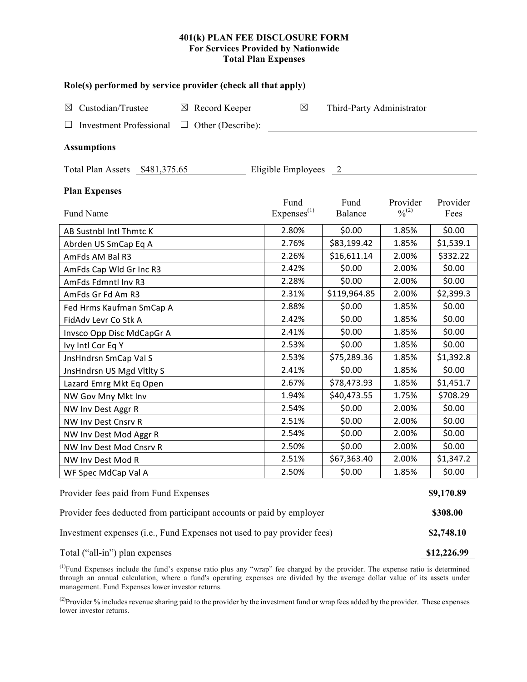#### 401(k) PLAN FEE DISCLOSURE FORM For Services Provided by Nationwide **Total Plan Expenses**

| Role(s) performed by service provider (check all that apply)            |                                 |                           |                                          |                  |  |  |  |  |
|-------------------------------------------------------------------------|---------------------------------|---------------------------|------------------------------------------|------------------|--|--|--|--|
| Custodian/Trustee<br>$\boxtimes$ Record Keeper<br>$\boxtimes$           | $\boxtimes$                     | Third-Party Administrator |                                          |                  |  |  |  |  |
| <b>Investment Professional</b><br>$\Box$ Other (Describe):              |                                 |                           |                                          |                  |  |  |  |  |
| <b>Assumptions</b>                                                      |                                 |                           |                                          |                  |  |  |  |  |
| Eligible Employees<br>Total Plan Assets \$481,375.65<br>$\overline{2}$  |                                 |                           |                                          |                  |  |  |  |  |
| <b>Plan Expenses</b>                                                    |                                 |                           |                                          |                  |  |  |  |  |
| Fund Name                                                               | Fund<br>Expenses <sup>(1)</sup> | Fund<br>Balance           | Provider<br>$\frac{0}{2}$ <sup>(2)</sup> | Provider<br>Fees |  |  |  |  |
| AB Sustnbl Intl Thmtc K                                                 | 2.80%                           | \$0.00                    | 1.85%                                    | \$0.00           |  |  |  |  |
| Abrden US SmCap Eq A                                                    | 2.76%                           | \$83,199.42               | 1.85%                                    | \$1,539.1        |  |  |  |  |
| AmFds AM Bal R3                                                         | 2.26%                           | \$16,611.14               | 2.00%                                    | \$332.22         |  |  |  |  |
| AmFds Cap Wld Gr Inc R3                                                 | 2.42%                           | \$0.00                    | 2.00%                                    | \$0.00           |  |  |  |  |
| AmFds Fdmntl Inv R3                                                     | 2.28%                           | \$0.00                    | 2.00%                                    | \$0.00           |  |  |  |  |
| AmFds Gr Fd Am R3                                                       | 2.31%                           | \$119,964.85              | 2.00%                                    | \$2,399.3        |  |  |  |  |
| Fed Hrms Kaufman SmCap A                                                | 2.88%                           | \$0.00                    | 1.85%                                    | \$0.00           |  |  |  |  |
| FidAdv Levr Co Stk A                                                    | 2.42%                           | \$0.00                    | 1.85%                                    | \$0.00           |  |  |  |  |
| Invsco Opp Disc MdCapGr A                                               | 2.41%                           | \$0.00                    | 1.85%                                    | \$0.00           |  |  |  |  |
| Ivy Intl Cor Eq Y                                                       | 2.53%                           | \$0.00                    | 1.85%                                    | \$0.00           |  |  |  |  |
| JnsHndrsn SmCap Val S                                                   | 2.53%                           | \$75,289.36               | 1.85%                                    | \$1,392.8        |  |  |  |  |
| JnsHndrsn US Mgd Vltlty S                                               | 2.41%                           | \$0.00                    | 1.85%                                    | \$0.00           |  |  |  |  |
| Lazard Emrg Mkt Eq Open                                                 | 2.67%                           | \$78,473.93               | 1.85%                                    | \$1,451.7        |  |  |  |  |
| NW Gov Mny Mkt Inv                                                      | 1.94%                           | \$40,473.55               | 1.75%                                    | \$708.29         |  |  |  |  |
| NW Inv Dest Aggr R                                                      | 2.54%                           | \$0.00                    | 2.00%                                    | \$0.00           |  |  |  |  |
| NW Inv Dest Cnsrv R                                                     | 2.51%                           | \$0.00                    | 2.00%                                    | \$0.00           |  |  |  |  |
| NW Inv Dest Mod Aggr R                                                  | 2.54%                           | \$0.00                    | 2.00%                                    | \$0.00           |  |  |  |  |
| NW Inv Dest Mod Cnsrv R                                                 | 2.50%                           | \$0.00                    | 2.00%                                    | \$0.00           |  |  |  |  |
| NW Inv Dest Mod R                                                       | 2.51%                           | \$67,363.40               | 2.00%                                    | \$1,347.2        |  |  |  |  |
| WF Spec MdCap Val A                                                     | 2.50%                           | \$0.00                    | 1.85%                                    | \$0.00           |  |  |  |  |
| Provider fees paid from Fund Expenses                                   |                                 |                           |                                          | \$9,170.89       |  |  |  |  |
| Provider fees deducted from participant accounts or paid by employer    |                                 |                           |                                          |                  |  |  |  |  |
| Investment expenses (i.e., Fund Expenses not used to pay provider fees) |                                 |                           |                                          |                  |  |  |  |  |

Total ("all-in") plan expenses

<sup>(1)</sup>Fund Expenses include the fund's expense ratio plus any "wrap" fee charged by the provider. The expense ratio is determined through an annual calculation, where a fund's operating expenses are divided by the average dollar value of its assets under management. Fund Expenses lower investor returns.

\$12,226.99

<sup>(2)</sup>Provider % includes revenue sharing paid to the provider by the investment fund or wrap fees added by the provider. These expenses lower investor returns.